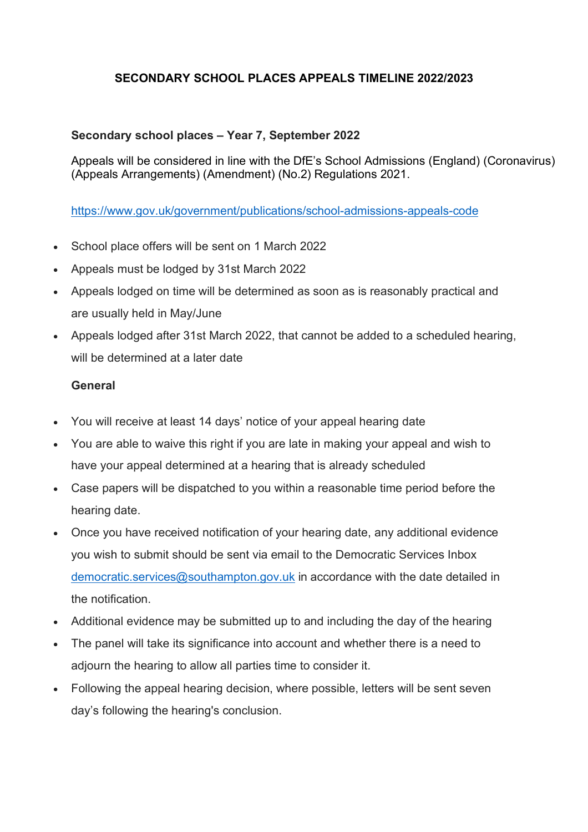## **SECONDARY SCHOOL PLACES APPEALS TIMELINE 2022/2023**

## **Secondary school places – Year 7, September 2022**

Appeals will be considered in line with the DfE's School Admissions (England) (Coronavirus) (Appeals Arrangements) (Amendment) (No.2) Regulations 2021.

https://www.gov.uk/government/publications/school-admissions-appeals-code

- School place offers will be sent on 1 March 2022
- Appeals must be lodged by 31st March 2022
- Appeals lodged on time will be determined as soon as is reasonably practical and are usually held in May/June
- Appeals lodged after 31st March 2022, that cannot be added to a scheduled hearing, will be determined at a later date

## **General**

- You will receive at least 14 days' notice of your appeal hearing date
- You are able to waive this right if you are late in making your appeal and wish to have your appeal determined at a hearing that is already scheduled
- Case papers will be dispatched to you within a reasonable time period before the hearing date.
- Once you have received notification of your hearing date, any additional evidence you wish to submit should be sent via email to the Democratic Services Inbox democratic.services@southampton.gov.uk in accordance with the date detailed in the notification.
- Additional evidence may be submitted up to and including the day of the hearing
- The panel will take its significance into account and whether there is a need to adjourn the hearing to allow all parties time to consider it.
- Following the appeal hearing decision, where possible, letters will be sent seven day's following the hearing's conclusion.